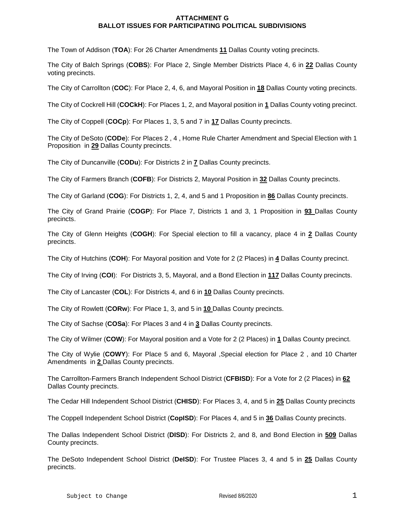## **ATTACHMENT G BALLOT ISSUES FOR PARTICIPATING POLITICAL SUBDIVISIONS**

The Town of Addison (**TOA**): For 26 Charter Amendments **11** Dallas County voting precincts.

The City of Balch Springs (**COBS**): For Place 2, Single Member Districts Place 4, 6 in **22** Dallas County voting precincts.

The City of Carrollton (**COC**): For Place 2, 4, 6, and Mayoral Position in **18** Dallas County voting precincts.

The City of Cockrell Hill (**COCkH**): For Places 1, 2, and Mayoral position in **1** Dallas County voting precinct.

The City of Coppell (**COCp**): For Places 1, 3, 5 and 7 in **17** Dallas County precincts.

The City of DeSoto (**CODe**): For Places 2 , 4 , Home Rule Charter Amendment and Special Election with 1 Proposition in **29** Dallas County precincts.

The City of Duncanville (**CODu**): For Districts 2 in **7** Dallas County precincts.

The City of Farmers Branch (**COFB**): For Districts 2, Mayoral Position in **32** Dallas County precincts.

The City of Garland (**COG**): For Districts 1, 2, 4, and 5 and 1 Proposition in **86** Dallas County precincts.

The City of Grand Prairie (**COGP**): For Place 7, Districts 1 and 3, 1 Proposition in **93** Dallas County precincts.

The City of Glenn Heights (**COGH**): For Special election to fill a vacancy, place 4 in **2** Dallas County precincts.

The City of Hutchins (**COH**): For Mayoral position and Vote for 2 (2 Places) in **4** Dallas County precinct.

The City of Irving (**COI**): For Districts 3, 5, Mayoral, and a Bond Election in **117** Dallas County precincts.

The City of Lancaster (**COL**): For Districts 4, and 6 in **10** Dallas County precincts.

The City of Rowlett (**CORw**): For Place 1, 3, and 5 in **10** Dallas County precincts.

The City of Sachse (**COSa**): For Places 3 and 4 in **3** Dallas County precincts.

The City of Wilmer (**COW**): For Mayoral position and a Vote for 2 (2 Places) in **1** Dallas County precinct.

The City of Wylie (**COWY**): For Place 5 and 6, Mayoral ,Special election for Place 2 , and 10 Charter Amendments in **2** Dallas County precincts.

The Carrollton-Farmers Branch Independent School District (**CFBISD**): For a Vote for 2 (2 Places) in **62** Dallas County precincts.

The Cedar Hill Independent School District (**CHISD**): For Places 3, 4, and 5 in **25** Dallas County precincts

The Coppell Independent School District (**CopISD**): For Places 4, and 5 in **36** Dallas County precincts.

The Dallas Independent School District (**DISD**): For Districts 2, and 8, and Bond Election in **509** Dallas County precincts.

The DeSoto Independent School District (**DeISD**): For Trustee Places 3, 4 and 5 in **25** Dallas County precincts.